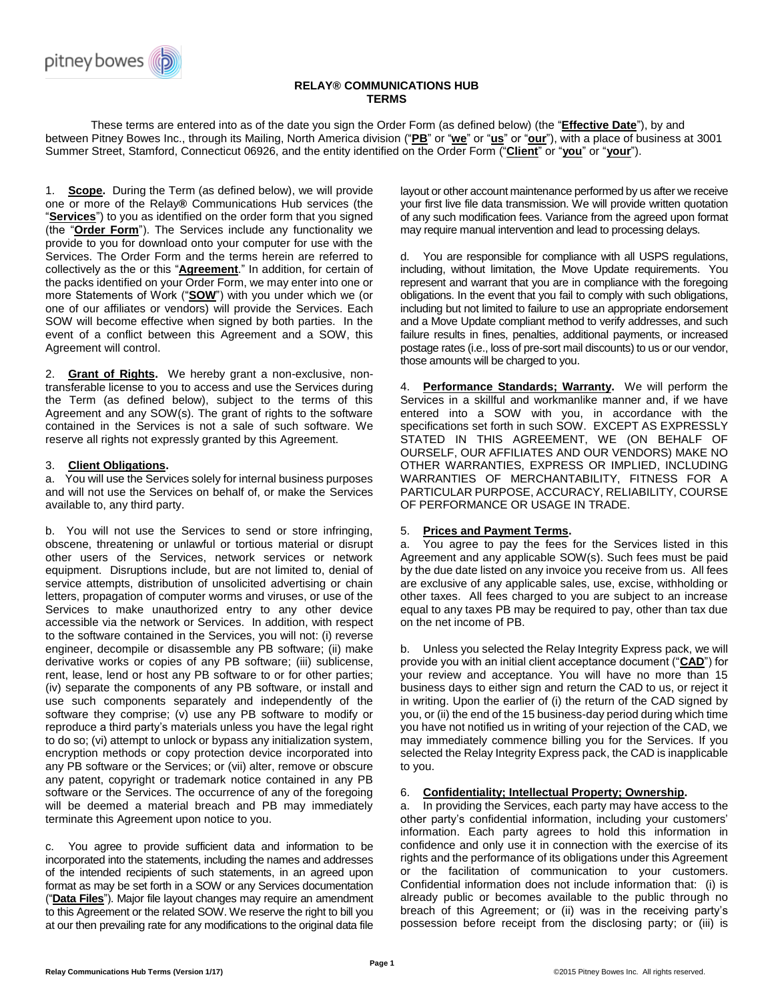

### **RELAY® COMMUNICATIONS HUB TERMS**

These terms are entered into as of the date you sign the Order Form (as defined below) (the "**Effective Date**"), by and between Pitney Bowes Inc., through its Mailing, North America division ("**PB**" or "**we**" or "**us**" or "**our**"), with a place of business at 3001 Summer Street, Stamford, Connecticut 06926, and the entity identified on the Order Form ("**Client**" or "**you**" or "**your**").

1. **Scope.** During the Term (as defined below), we will provide one or more of the Relay**®** Communications Hub services (the "**Services**") to you as identified on the order form that you signed (the "**Order Form**"). The Services include any functionality we provide to you for download onto your computer for use with the Services. The Order Form and the terms herein are referred to collectively as the or this "**Agreement**." In addition, for certain of the packs identified on your Order Form, we may enter into one or more Statements of Work ("**SOW**") with you under which we (or one of our affiliates or vendors) will provide the Services. Each SOW will become effective when signed by both parties. In the event of a conflict between this Agreement and a SOW, this Agreement will control.

Grant of Rights. We hereby grant a non-exclusive, nontransferable license to you to access and use the Services during the Term (as defined below), subject to the terms of this Agreement and any SOW(s). The grant of rights to the software contained in the Services is not a sale of such software. We reserve all rights not expressly granted by this Agreement.

# 3. **Client Obligations.**

a. You will use the Services solely for internal business purposes and will not use the Services on behalf of, or make the Services available to, any third party.

b. You will not use the Services to send or store infringing, obscene, threatening or unlawful or tortious material or disrupt other users of the Services, network services or network equipment. Disruptions include, but are not limited to, denial of service attempts, distribution of unsolicited advertising or chain letters, propagation of computer worms and viruses, or use of the Services to make unauthorized entry to any other device accessible via the network or Services. In addition, with respect to the software contained in the Services, you will not: (i) reverse engineer, decompile or disassemble any PB software; (ii) make derivative works or copies of any PB software; (iii) sublicense, rent, lease, lend or host any PB software to or for other parties; (iv) separate the components of any PB software, or install and use such components separately and independently of the software they comprise; (v) use any PB software to modify or reproduce a third party's materials unless you have the legal right to do so; (vi) attempt to unlock or bypass any initialization system, encryption methods or copy protection device incorporated into any PB software or the Services; or (vii) alter, remove or obscure any patent, copyright or trademark notice contained in any PB software or the Services. The occurrence of any of the foregoing will be deemed a material breach and PB may immediately terminate this Agreement upon notice to you.

c. You agree to provide sufficient data and information to be incorporated into the statements, including the names and addresses of the intended recipients of such statements, in an agreed upon format as may be set forth in a SOW or any Services documentation ("**Data Files**"). Major file layout changes may require an amendment to this Agreement or the related SOW. We reserve the right to bill you at our then prevailing rate for any modifications to the original data file layout or other account maintenance performed by us after we receive your first live file data transmission. We will provide written quotation of any such modification fees. Variance from the agreed upon format may require manual intervention and lead to processing delays.

d. You are responsible for compliance with all USPS regulations, including, without limitation, the Move Update requirements. You represent and warrant that you are in compliance with the foregoing obligations. In the event that you fail to comply with such obligations, including but not limited to failure to use an appropriate endorsement and a Move Update compliant method to verify addresses, and such failure results in fines, penalties, additional payments, or increased postage rates (i.e., loss of pre-sort mail discounts) to us or our vendor, those amounts will be charged to you.

4. **Performance Standards; Warranty.** We will perform the Services in a skillful and workmanlike manner and, if we have entered into a SOW with you, in accordance with the specifications set forth in such SOW. EXCEPT AS EXPRESSLY STATED IN THIS AGREEMENT, WE (ON BEHALF OF OURSELF, OUR AFFILIATES AND OUR VENDORS) MAKE NO OTHER WARRANTIES, EXPRESS OR IMPLIED, INCLUDING WARRANTIES OF MERCHANTABILITY, FITNESS FOR A PARTICULAR PURPOSE, ACCURACY, RELIABILITY, COURSE OF PERFORMANCE OR USAGE IN TRADE.

## 5. **Prices and Payment Terms.**

a. You agree to pay the fees for the Services listed in this Agreement and any applicable SOW(s). Such fees must be paid by the due date listed on any invoice you receive from us. All fees are exclusive of any applicable sales, use, excise, withholding or other taxes. All fees charged to you are subject to an increase equal to any taxes PB may be required to pay, other than tax due on the net income of PB.

b. Unless you selected the Relay Integrity Express pack, we will provide you with an initial client acceptance document ("**CAD**") for your review and acceptance. You will have no more than 15 business days to either sign and return the CAD to us, or reject it in writing. Upon the earlier of (i) the return of the CAD signed by you, or (ii) the end of the 15 business-day period during which time you have not notified us in writing of your rejection of the CAD, we may immediately commence billing you for the Services. If you selected the Relay Integrity Express pack, the CAD is inapplicable to you.

#### 6. **Confidentiality; Intellectual Property; Ownership.**

a. In providing the Services, each party may have access to the other party's confidential information, including your customers' information. Each party agrees to hold this information in confidence and only use it in connection with the exercise of its rights and the performance of its obligations under this Agreement or the facilitation of communication to your customers. Confidential information does not include information that: (i) is already public or becomes available to the public through no breach of this Agreement; or (ii) was in the receiving party's possession before receipt from the disclosing party; or (iii) is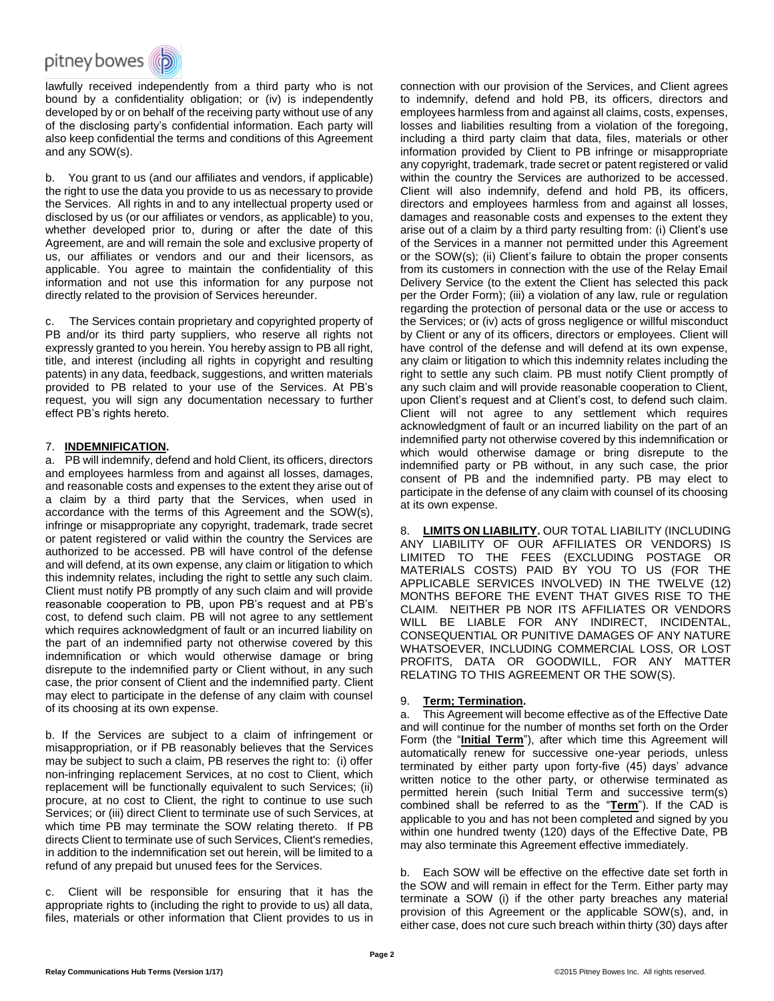

lawfully received independently from a third party who is not bound by a confidentiality obligation; or (iv) is independently developed by or on behalf of the receiving party without use of any of the disclosing party's confidential information. Each party will also keep confidential the terms and conditions of this Agreement and any SOW(s).

b. You grant to us (and our affiliates and vendors, if applicable) the right to use the data you provide to us as necessary to provide the Services. All rights in and to any intellectual property used or disclosed by us (or our affiliates or vendors, as applicable) to you, whether developed prior to, during or after the date of this Agreement, are and will remain the sole and exclusive property of us, our affiliates or vendors and our and their licensors, as applicable. You agree to maintain the confidentiality of this information and not use this information for any purpose not directly related to the provision of Services hereunder.

c. The Services contain proprietary and copyrighted property of PB and/or its third party suppliers, who reserve all rights not expressly granted to you herein. You hereby assign to PB all right, title, and interest (including all rights in copyright and resulting patents) in any data, feedback, suggestions, and written materials provided to PB related to your use of the Services. At PB's request, you will sign any documentation necessary to further effect PB's rights hereto.

### 7. **INDEMNIFICATION.**

a. PB will indemnify, defend and hold Client, its officers, directors and employees harmless from and against all losses, damages, and reasonable costs and expenses to the extent they arise out of a claim by a third party that the Services, when used in accordance with the terms of this Agreement and the SOW(s), infringe or misappropriate any copyright, trademark, trade secret or patent registered or valid within the country the Services are authorized to be accessed. PB will have control of the defense and will defend, at its own expense, any claim or litigation to which this indemnity relates, including the right to settle any such claim. Client must notify PB promptly of any such claim and will provide reasonable cooperation to PB, upon PB's request and at PB's cost, to defend such claim. PB will not agree to any settlement which requires acknowledgment of fault or an incurred liability on the part of an indemnified party not otherwise covered by this indemnification or which would otherwise damage or bring disrepute to the indemnified party or Client without, in any such case, the prior consent of Client and the indemnified party. Client may elect to participate in the defense of any claim with counsel of its choosing at its own expense.

b. If the Services are subject to a claim of infringement or misappropriation, or if PB reasonably believes that the Services may be subject to such a claim, PB reserves the right to: (i) offer non-infringing replacement Services, at no cost to Client, which replacement will be functionally equivalent to such Services; (ii) procure, at no cost to Client, the right to continue to use such Services; or (iii) direct Client to terminate use of such Services, at which time PB may terminate the SOW relating thereto. If PB directs Client to terminate use of such Services, Client's remedies, in addition to the indemnification set out herein, will be limited to a refund of any prepaid but unused fees for the Services.

c. Client will be responsible for ensuring that it has the appropriate rights to (including the right to provide to us) all data, files, materials or other information that Client provides to us in connection with our provision of the Services, and Client agrees to indemnify, defend and hold PB, its officers, directors and employees harmless from and against all claims, costs, expenses, losses and liabilities resulting from a violation of the foregoing, including a third party claim that data, files, materials or other information provided by Client to PB infringe or misappropriate any copyright, trademark, trade secret or patent registered or valid within the country the Services are authorized to be accessed. Client will also indemnify, defend and hold PB, its officers, directors and employees harmless from and against all losses, damages and reasonable costs and expenses to the extent they arise out of a claim by a third party resulting from: (i) Client's use of the Services in a manner not permitted under this Agreement or the SOW(s); (ii) Client's failure to obtain the proper consents from its customers in connection with the use of the Relay Email Delivery Service (to the extent the Client has selected this pack per the Order Form); (iii) a violation of any law, rule or regulation regarding the protection of personal data or the use or access to the Services; or (iv) acts of gross negligence or willful misconduct by Client or any of its officers, directors or employees. Client will have control of the defense and will defend at its own expense, any claim or litigation to which this indemnity relates including the right to settle any such claim. PB must notify Client promptly of any such claim and will provide reasonable cooperation to Client, upon Client's request and at Client's cost, to defend such claim. Client will not agree to any settlement which requires acknowledgment of fault or an incurred liability on the part of an indemnified party not otherwise covered by this indemnification or which would otherwise damage or bring disrepute to the indemnified party or PB without, in any such case, the prior consent of PB and the indemnified party. PB may elect to participate in the defense of any claim with counsel of its choosing at its own expense.

8. **LIMITS ON LIABILITY.** OUR TOTAL LIABILITY (INCLUDING ANY LIABILITY OF OUR AFFILIATES OR VENDORS) IS LIMITED TO THE FEES (EXCLUDING POSTAGE OR MATERIALS COSTS) PAID BY YOU TO US (FOR THE APPLICABLE SERVICES INVOLVED) IN THE TWELVE (12) MONTHS BEFORE THE EVENT THAT GIVES RISE TO THE CLAIM. NEITHER PB NOR ITS AFFILIATES OR VENDORS WILL BE LIABLE FOR ANY INDIRECT, INCIDENTAL, CONSEQUENTIAL OR PUNITIVE DAMAGES OF ANY NATURE WHATSOEVER, INCLUDING COMMERCIAL LOSS, OR LOST PROFITS, DATA OR GOODWILL, FOR ANY MATTER RELATING TO THIS AGREEMENT OR THE SOW(S).

## 9. **Term; Termination.**

a. This Agreement will become effective as of the Effective Date and will continue for the number of months set forth on the Order Form (the "**Initial Term**"), after which time this Agreement will automatically renew for successive one-year periods, unless terminated by either party upon forty-five (45) days' advance written notice to the other party, or otherwise terminated as permitted herein (such Initial Term and successive term(s) combined shall be referred to as the "**Term**"). If the CAD is applicable to you and has not been completed and signed by you within one hundred twenty (120) days of the Effective Date, PB may also terminate this Agreement effective immediately.

b. Each SOW will be effective on the effective date set forth in the SOW and will remain in effect for the Term. Either party may terminate a SOW (i) if the other party breaches any material provision of this Agreement or the applicable SOW(s), and, in either case, does not cure such breach within thirty (30) days after